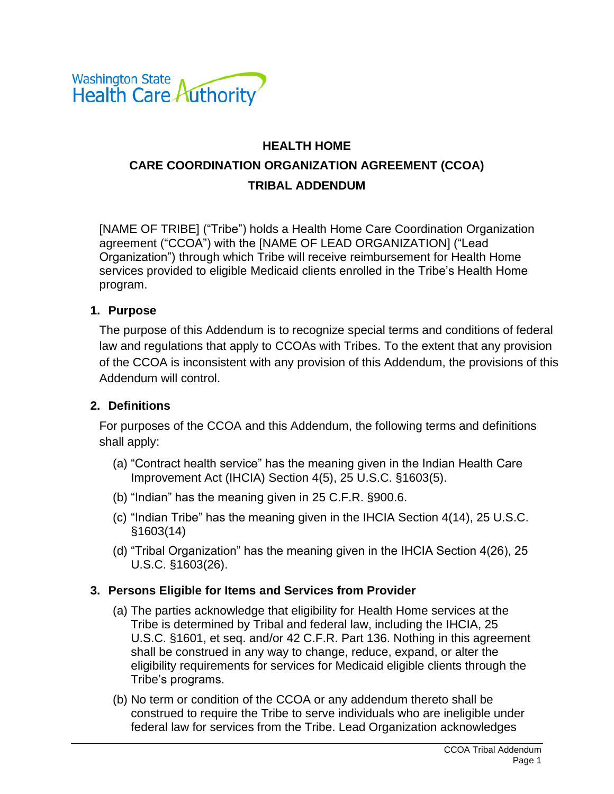

# **HEALTH HOME CARE COORDINATION ORGANIZATION AGREEMENT (CCOA) TRIBAL ADDENDUM**

[NAME OF TRIBE] ("Tribe") holds a Health Home Care Coordination Organization agreement ("CCOA") with the [NAME OF LEAD ORGANIZATION] ("Lead Organization") through which Tribe will receive reimbursement for Health Home services provided to eligible Medicaid clients enrolled in the Tribe's Health Home program.

#### **1. Purpose**

The purpose of this Addendum is to recognize special terms and conditions of federal law and regulations that apply to CCOAs with Tribes. To the extent that any provision of the CCOA is inconsistent with any provision of this Addendum, the provisions of this Addendum will control.

#### **2. Definitions**

For purposes of the CCOA and this Addendum, the following terms and definitions shall apply:

- (a) "Contract health service" has the meaning given in the Indian Health Care Improvement Act (IHCIA) Section 4(5), 25 U.S.C. §1603(5).
- (b) "Indian" has the meaning given in 25 C.F.R. §900.6.
- (c) "Indian Tribe" has the meaning given in the IHCIA Section 4(14), 25 U.S.C. §1603(14)
- (d) "Tribal Organization" has the meaning given in the IHCIA Section 4(26), 25 U.S.C. §1603(26).

#### **3. Persons Eligible for Items and Services from Provider**

- (a) The parties acknowledge that eligibility for Health Home services at the Tribe is determined by Tribal and federal law, including the IHCIA, 25 U.S.C. §1601, et seq. and/or 42 C.F.R. Part 136. Nothing in this agreement shall be construed in any way to change, reduce, expand, or alter the eligibility requirements for services for Medicaid eligible clients through the Tribe's programs.
- (b) No term or condition of the CCOA or any addendum thereto shall be construed to require the Tribe to serve individuals who are ineligible under federal law for services from the Tribe. Lead Organization acknowledges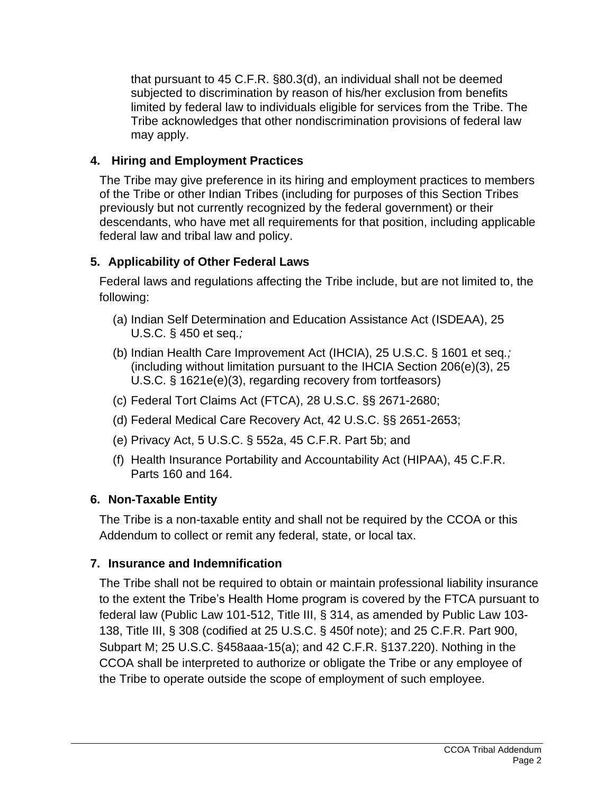that pursuant to 45 C.F.R. §80.3(d), an individual shall not be deemed subjected to discrimination by reason of his/her exclusion from benefits limited by federal law to individuals eligible for services from the Tribe. The Tribe acknowledges that other nondiscrimination provisions of federal law may apply.

### **4. Hiring and Employment Practices**

The Tribe may give preference in its hiring and employment practices to members of the Tribe or other Indian Tribes (including for purposes of this Section Tribes previously but not currently recognized by the federal government) or their descendants, who have met all requirements for that position, including applicable federal law and tribal law and policy.

### **5. Applicability of Other Federal Laws**

Federal laws and regulations affecting the Tribe include, but are not limited to, the following:

- (a) Indian Self Determination and Education Assistance Act (ISDEAA), 25 U.S.C. § 450 et seq*.;*
- (b) Indian Health Care Improvement Act (IHCIA), 25 U.S.C. § 1601 et seq*.;* (including without limitation pursuant to the IHCIA Section 206(e)(3), 25 U.S.C. § 1621e(e)(3), regarding recovery from tortfeasors)
- (c) Federal Tort Claims Act (FTCA), 28 U.S.C. §§ 2671-2680;
- (d) Federal Medical Care Recovery Act, 42 U.S.C. §§ 2651-2653;
- (e) Privacy Act, 5 U.S.C. § 552a, 45 C.F.R. Part 5b; and
- (f) Health Insurance Portability and Accountability Act (HIPAA), 45 C.F.R. Parts 160 and 164.

# **6. Non-Taxable Entity**

The Tribe is a non-taxable entity and shall not be required by the CCOA or this Addendum to collect or remit any federal, state, or local tax.

# **7. Insurance and Indemnification**

The Tribe shall not be required to obtain or maintain professional liability insurance to the extent the Tribe's Health Home program is covered by the FTCA pursuant to federal law (Public Law 101-512, Title III, § 314, as amended by Public Law 103- 138, Title III, § 308 (codified at 25 U.S.C. § 450f note); and 25 C.F.R. Part 900, Subpart M; 25 U.S.C. §458aaa-15(a); and 42 C.F.R. §137.220). Nothing in the CCOA shall be interpreted to authorize or obligate the Tribe or any employee of the Tribe to operate outside the scope of employment of such employee.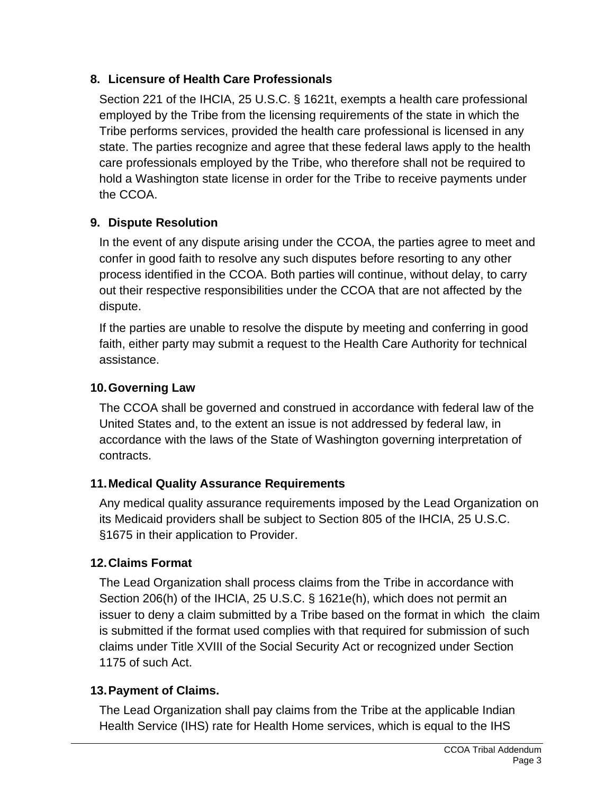### **8. Licensure of Health Care Professionals**

Section 221 of the IHCIA, 25 U.S.C. § 1621t, exempts a health care professional employed by the Tribe from the licensing requirements of the state in which the Tribe performs services, provided the health care professional is licensed in any state. The parties recognize and agree that these federal laws apply to the health care professionals employed by the Tribe, who therefore shall not be required to hold a Washington state license in order for the Tribe to receive payments under the CCOA.

# **9. Dispute Resolution**

In the event of any dispute arising under the CCOA, the parties agree to meet and confer in good faith to resolve any such disputes before resorting to any other process identified in the CCOA. Both parties will continue, without delay, to carry out their respective responsibilities under the CCOA that are not affected by the dispute.

If the parties are unable to resolve the dispute by meeting and conferring in good faith, either party may submit a request to the Health Care Authority for technical assistance.

# **10.Governing Law**

The CCOA shall be governed and construed in accordance with federal law of the United States and, to the extent an issue is not addressed by federal law, in accordance with the laws of the State of Washington governing interpretation of contracts.

# **11.Medical Quality Assurance Requirements**

Any medical quality assurance requirements imposed by the Lead Organization on its Medicaid providers shall be subject to Section 805 of the IHCIA, 25 U.S.C. §1675 in their application to Provider.

# **12.Claims Format**

The Lead Organization shall process claims from the Tribe in accordance with Section 206(h) of the IHCIA, 25 U.S.C. § 1621e(h), which does not permit an issuer to deny a claim submitted by a Tribe based on the format in which the claim is submitted if the format used complies with that required for submission of such claims under Title XVIII of the Social Security Act or recognized under Section 1175 of such Act.

# **13.Payment of Claims.**

The Lead Organization shall pay claims from the Tribe at the applicable Indian Health Service (IHS) rate for Health Home services, which is equal to the IHS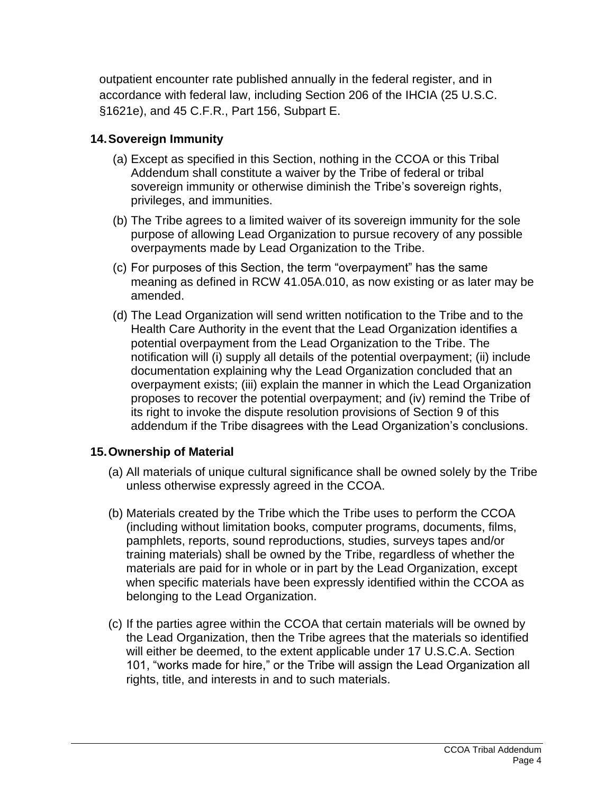outpatient encounter rate published annually in the federal register, and in accordance with federal law, including Section 206 of the IHCIA (25 U.S.C. §1621e), and 45 C.F.R., Part 156, Subpart E.

#### **14.Sovereign Immunity**

- (a) Except as specified in this Section, nothing in the CCOA or this Tribal Addendum shall constitute a waiver by the Tribe of federal or tribal sovereign immunity or otherwise diminish the Tribe's sovereign rights, privileges, and immunities.
- (b) The Tribe agrees to a limited waiver of its sovereign immunity for the sole purpose of allowing Lead Organization to pursue recovery of any possible overpayments made by Lead Organization to the Tribe.
- (c) For purposes of this Section, the term "overpayment" has the same meaning as defined in RCW 41.05A.010, as now existing or as later may be amended.
- (d) The Lead Organization will send written notification to the Tribe and to the Health Care Authority in the event that the Lead Organization identifies a potential overpayment from the Lead Organization to the Tribe. The notification will (i) supply all details of the potential overpayment; (ii) include documentation explaining why the Lead Organization concluded that an overpayment exists; (iii) explain the manner in which the Lead Organization proposes to recover the potential overpayment; and (iv) remind the Tribe of its right to invoke the dispute resolution provisions of Section 9 of this addendum if the Tribe disagrees with the Lead Organization's conclusions.

### **15.Ownership of Material**

- (a) All materials of unique cultural significance shall be owned solely by the Tribe unless otherwise expressly agreed in the CCOA.
- (b) Materials created by the Tribe which the Tribe uses to perform the CCOA (including without limitation books, computer programs, documents, films, pamphlets, reports, sound reproductions, studies, surveys tapes and/or training materials) shall be owned by the Tribe, regardless of whether the materials are paid for in whole or in part by the Lead Organization, except when specific materials have been expressly identified within the CCOA as belonging to the Lead Organization.
- (c) If the parties agree within the CCOA that certain materials will be owned by the Lead Organization, then the Tribe agrees that the materials so identified will either be deemed, to the extent applicable under 17 U.S.C.A. Section 101, "works made for hire," or the Tribe will assign the Lead Organization all rights, title, and interests in and to such materials.